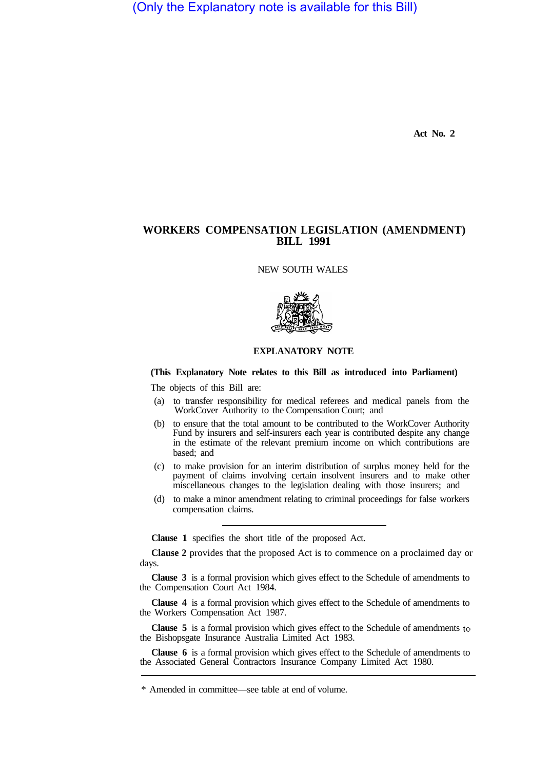(Only the Explanatory note is available for this Bill)

**Act No. 2** 

# **WORKERS COMPENSATION LEGISLATION (AMENDMENT) BILL 1991**

NEW SOUTH WALES



# **EXPLANATORY NOTE**

## **(This Explanatory Note relates to this Bill as introduced into Parliament)**

The objects of this Bill are:

- (a) to transfer responsibility for medical referees and medical panels from the WorkCover Authority to the Cornpensation Court; and
- (b) to ensure that the total amount to be contributed to the WorkCover Authority Fund by insurers and self-insurers each year is contributed despite any change in the estimate of the relevant premium income on which contributions are based; and
- (c) to make provision for an interim distribution of surplus money held for the payment of claims involving certain insolvent insurers and to make other miscellaneous changes to the legislation dealing with those insurers; and
- (d) to make a minor amendment relating to criminal proceedings for false workers compensation claims.

**Clause 1** specifies the short title of the proposed Act.

**Clause 2** provides that the proposed Act is to commence on a proclaimed day or days.

**Clause 3** is a formal provision which gives effect to the Schedule of amendments to the Compensation Court Act 1984.

**Clause 4** is a formal provision which gives effect to the Schedule of amendments to the Workers Compensation Act 1987.

**Clause 5** is a formal provision which gives effect to the Schedule of amendments to the Bishopsgate Insurance Australia Limited Act 1983.

**Clause 6** is a formal provision which gives effect to the Schedule of amendments to the Associated General Contractors Insurance Company Limited Act 1980.

<sup>\*</sup> Amended in committee—see table at end of volume.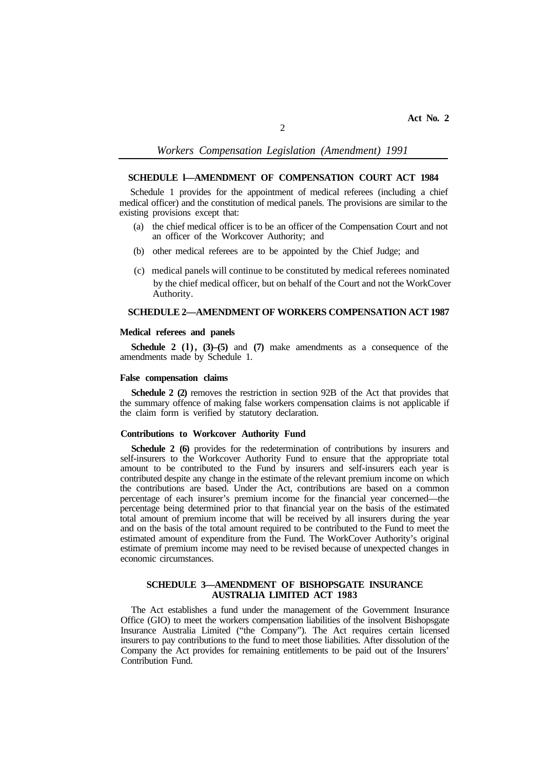### *Workers Compensation Legislation (Amendment) 1991*

### **SCHEDULE l—AMENDMENT OF COMPENSATION COURT ACT 1984**

Schedule 1 provides for the appointment of medical referees (including a chief medical officer) and the constitution of medical panels. The provisions are similar to the existing provisions except that:

- (a) the chief medical officer is to be an officer of the Compensation Court and not an officer of the Workcover Authority; and
- (b) other medical referees are to be appointed by the Chief Judge; and
- (c) medical panels will continue to be constituted by medical referees nominated by the chief medical officer, but on behalf of the Court and not the WorkCover Authority.

# **SCHEDULE 2—AMENDMENT OF WORKERS COMPENSATION ACT 1987**

#### **Medical referees and panels**

**Schedule 2 (l), (3)–(5)** and **(7)** make amendments as a consequence of the amendments made by Schedule 1.

#### **False compensation claims**

**Schedule 2 (2)** removes the restriction in section 92B of the Act that provides that the summary offence of making false workers compensation claims is not applicable if the claim form is verified by statutory declaration.

### **Contributions to Workcover Authority Fund**

**Schedule 2 (6)** provides for the redetermination of contributions by insurers and self-insurers to the Workcover Authority Fund to ensure that the appropriate total amount to be contributed to the Fund by insurers and self-insurers each year is contributed despite any change in the estimate of the relevant premium income on which the contributions are based. Under the Act, contributions are based on a common percentage of each insurer's premium income for the financial year concerned—the percentage being determined prior to that financial year on the basis of the estimated total amount of premium income that will be received by all insurers during the year and on the basis of the total amount required to be contributed to the Fund to meet the estimated amount of expenditure from the Fund. The WorkCover Authority's original estimate of premium income may need to be revised because of unexpected changes in economic circumstances.

#### **SCHEDULE 3—AMENDMENT OF BISHOPSGATE INSURANCE AUSTRALIA LIMITED ACT 1983**

The Act establishes a fund under the management of the Government Insurance Office (GIO) to meet the workers compensation liabilities of the insolvent Bishopsgate Insurance Australia Limited ("the Company"). The Act requires certain licensed insurers to pay contributions to the fund to meet those liabilities. After dissolution of the Company the Act provides for remaining entitlements to be paid out of the Insurers' Contribution Fund.